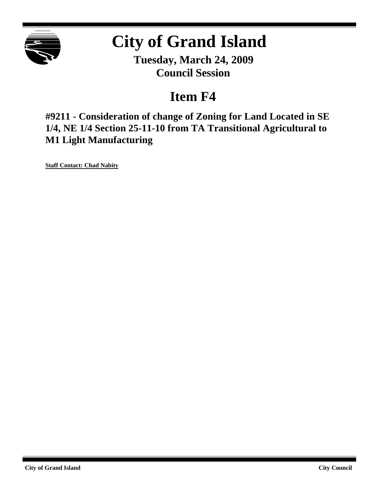

## **City of Grand Island**

**Tuesday, March 24, 2009 Council Session**

## **Item F4**

**#9211 - Consideration of change of Zoning for Land Located in SE 1/4, NE 1/4 Section 25-11-10 from TA Transitional Agricultural to M1 Light Manufacturing**

**Staff Contact: Chad Nabity**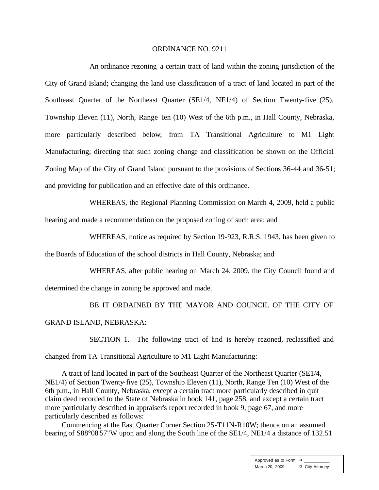## ORDINANCE NO. 9211

An ordinance rezoning a certain tract of land within the zoning jurisdiction of the City of Grand Island; changing the land use classification of a tract of land located in part of the Southeast Quarter of the Northeast Quarter (SE1/4, NE1/4) of Section Twenty-five (25), Township Eleven (11), North, Range Ten (10) West of the 6th p.m., in Hall County, Nebraska, more particularly described below, from TA Transitional Agriculture to M1 Light Manufacturing; directing that such zoning change and classification be shown on the Official Zoning Map of the City of Grand Island pursuant to the provisions of Sections 36-44 and 36-51; and providing for publication and an effective date of this ordinance.

WHEREAS, the Regional Planning Commission on March 4, 2009, held a public hearing and made a recommendation on the proposed zoning of such area; and

WHEREAS, notice as required by Section 19-923, R.R.S. 1943, has been given to

the Boards of Education of the school districts in Hall County, Nebraska; and

WHEREAS, after public hearing on March 24, 2009, the City Council found and determined the change in zoning be approved and made.

BE IT ORDAINED BY THE MAYOR AND COUNCIL OF THE CITY OF GRAND ISLAND, NEBRASKA:

SECTION 1. The following tract of and is hereby rezoned, reclassified and changed from TA Transitional Agriculture to M1 Light Manufacturing:

A tract of land located in part of the Southeast Quarter of the Northeast Quarter (SE1/4, NE1/4) of Section Twenty-five (25), Township Eleven (11), North, Range Ten (10) West of the 6th p.m., in Hall County, Nebraska, except a certain tract more particularly described in quit claim deed recorded to the State of Nebraska in book 141, page 258, and except a certain tract more particularly described in appraiser's report recorded in book 9, page 67, and more particularly described as follows:

Commencing at the East Quarter Corner Section 25-T11N-R10W; thence on an assumed bearing of S88°08'57"W upon and along the South line of the SE1/4, NE1/4 a distance of 132.51

> Approved as to Form  $\overline{a}$ March 20, 2009 **¤** City Attorney